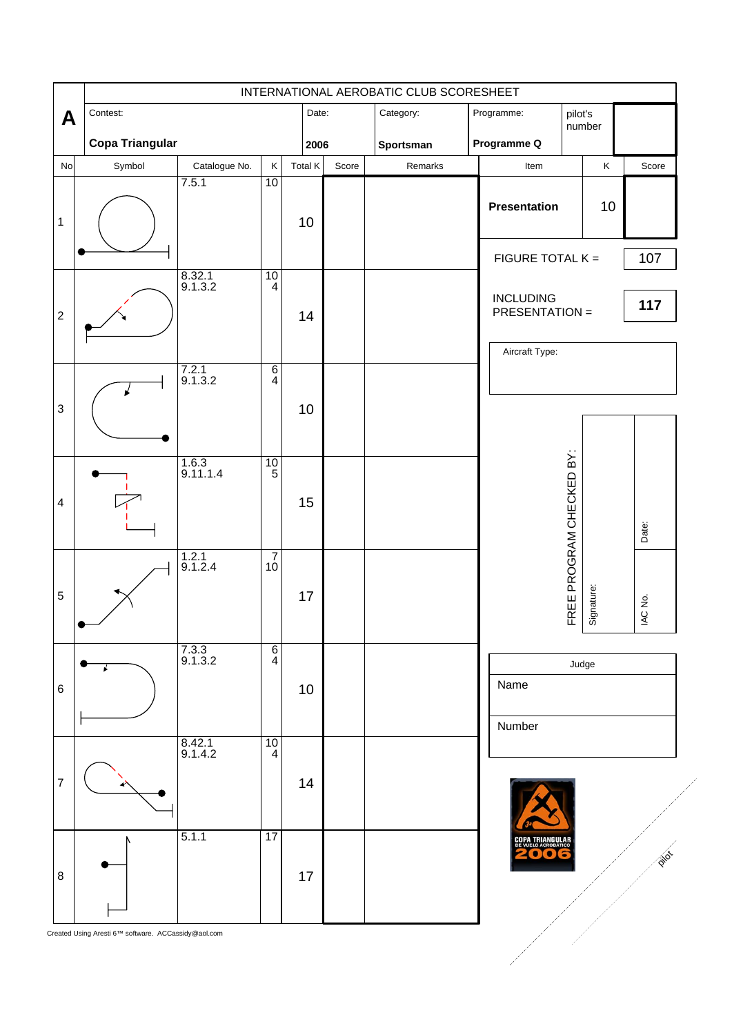|                  | INTERNATIONAL AEROBATIC CLUB SCORESHEET |                          |                                        |         |       |                        |  |                                           |                          |            |         |
|------------------|-----------------------------------------|--------------------------|----------------------------------------|---------|-------|------------------------|--|-------------------------------------------|--------------------------|------------|---------|
| A                | Contest:<br><b>Copa Triangular</b>      |                          |                                        |         | Date: | Category:<br>Sportsman |  | Programme:<br>pilot's<br>Programme Q      |                          | number     |         |
|                  |                                         |                          |                                        |         | 2006  |                        |  |                                           |                          |            |         |
| No               | Symbol                                  | Catalogue No.            | $\sf K$                                | Total K | Score | Remarks                |  | Item                                      |                          | $\sf K$    | Score   |
| $\mathbf 1$      |                                         | 7.5.1                    | 10                                     | 10      |       |                        |  | Presentation                              |                          | 10         |         |
|                  |                                         |                          |                                        |         |       |                        |  | FIGURE TOTAL K =                          |                          |            | 107     |
| $\boldsymbol{2}$ |                                         | 8.32.1<br>9.1.3.2        | 10<br>$\overline{4}$                   | 14      |       |                        |  | <b>INCLUDING</b><br><b>PRESENTATION =</b> |                          |            | 117     |
|                  |                                         |                          |                                        |         |       |                        |  | Aircraft Type:                            |                          |            |         |
|                  |                                         | $7.2.1$<br>9.1.3.2       | $\overline{\frac{6}{4}}$               |         |       |                        |  |                                           |                          |            |         |
| $\mathsf 3$      |                                         |                          |                                        | 10      |       |                        |  |                                           |                          |            |         |
|                  |                                         | $\frac{1.6.3}{9.11.1.4}$ | $\frac{10}{5}$                         |         |       |                        |  |                                           |                          |            |         |
| $\overline{4}$   |                                         |                          |                                        | 15      |       |                        |  |                                           | FREE PROGRAM CHECKED BY: |            |         |
|                  |                                         |                          |                                        |         |       |                        |  |                                           |                          |            | Date:   |
|                  |                                         | $1.2.1$<br>9.1.2.4       | $\begin{array}{c} 7 \\ 10 \end{array}$ |         |       |                        |  |                                           |                          |            |         |
| $\sqrt{5}$       |                                         |                          |                                        | 17      |       |                        |  |                                           |                          | Signature: | IAC No. |
|                  |                                         | $7.3.3$<br>9.1.3.2       | $\overline{6}$<br>$\overline{4}$       |         |       |                        |  |                                           | Judge                    |            |         |
| 6                |                                         |                          |                                        | 10      |       |                        |  | Name                                      |                          |            |         |
|                  |                                         | 8.42.1<br>9.1.4.2        | 10<br>$\overline{4}$                   |         |       |                        |  | Number                                    |                          |            |         |
| $\boldsymbol{7}$ |                                         |                          |                                        | 14      |       |                        |  |                                           |                          |            |         |
|                  |                                         | 5.1.1                    | $\overline{17}$                        |         |       |                        |  | PA TRIANGULAI                             |                          |            |         |
| 8                |                                         |                          |                                        | 17      |       |                        |  |                                           |                          |            | Pilot   |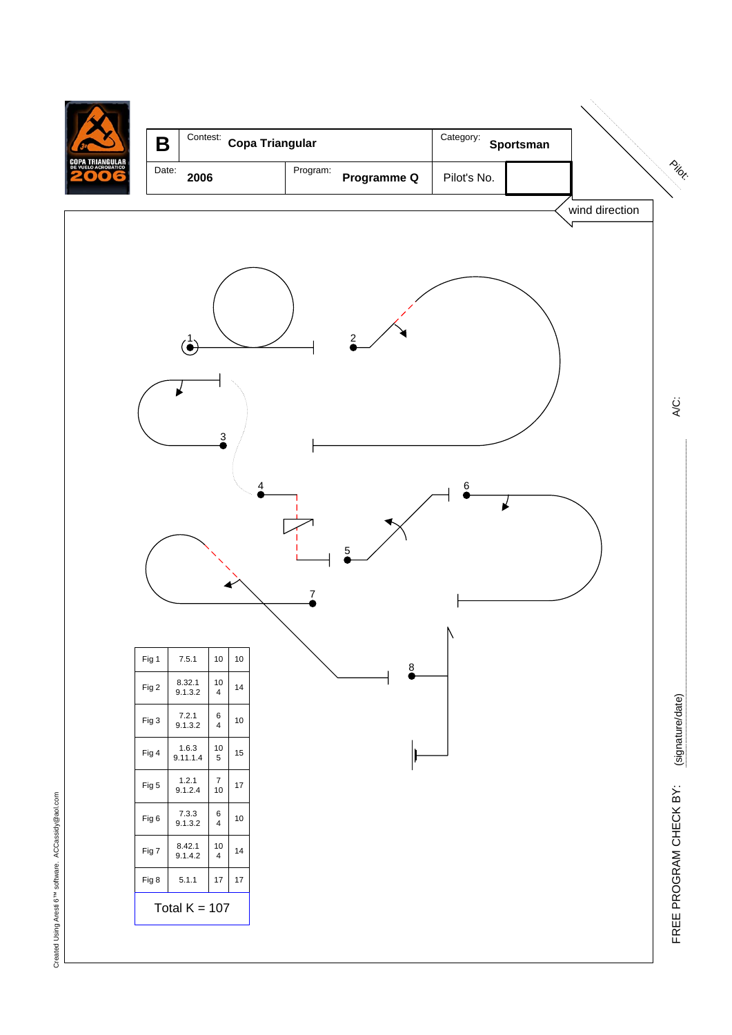

Created Using Aresti 6<sup>TM</sup> software. ACCassidy@aol.com Created Using Aresti 6™ software. ACCassidy@aol.com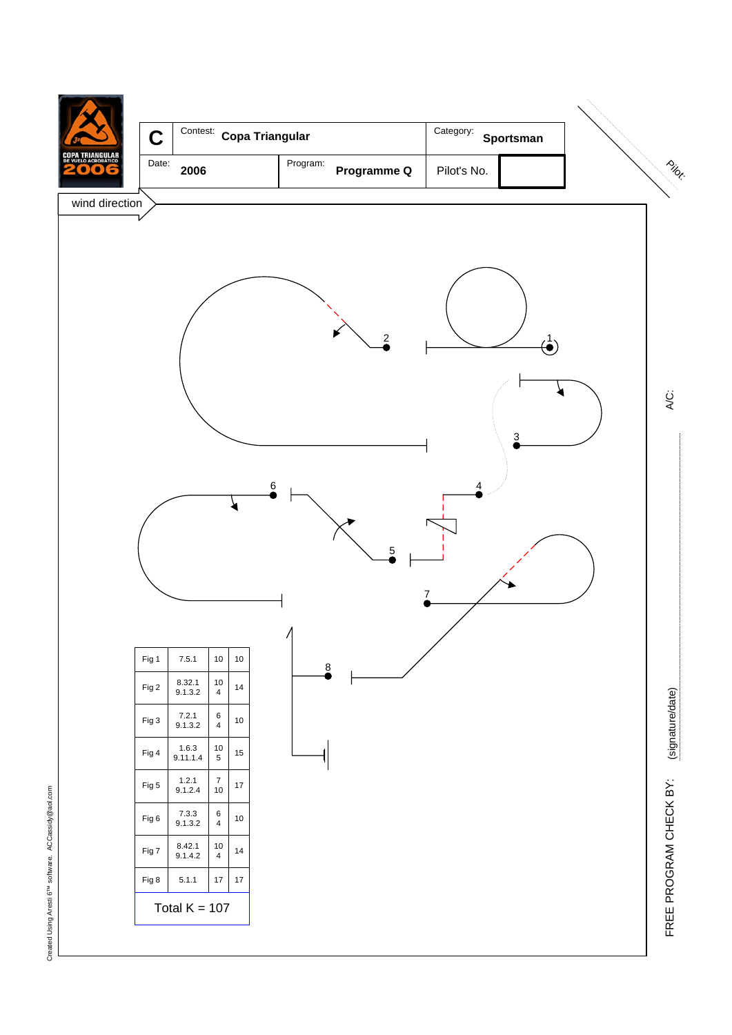

Created Using Aresti 6<sup>TM</sup> software. ACCassidy@aol.com Created Using Aresti 6™ software. ACCassidy@aol.com